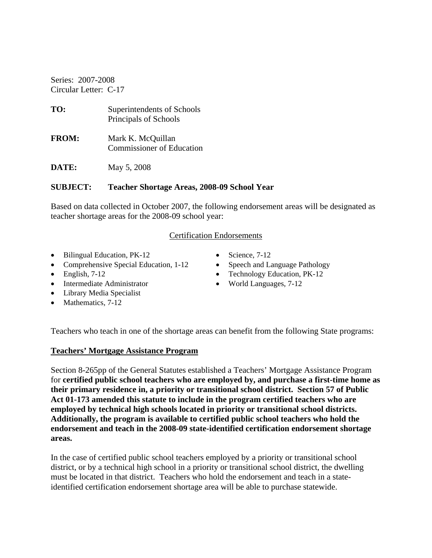Series: 2007-2008 Circular Letter: C-17

| TO:          | Superintendents of Schools<br>Principals of Schools   |
|--------------|-------------------------------------------------------|
| <b>FROM:</b> | Mark K. McQuillan<br><b>Commissioner of Education</b> |
| DATE:        | May 5, 2008                                           |

### **SUBJECT: Teacher Shortage Areas, 2008-09 School Year**

Based on data collected in October 2007, the following endorsement areas will be designated as teacher shortage areas for the 2008-09 school year:

#### Certification Endorsements

- Bilingual Education, PK-12
- Comprehensive Special Education, 1-12
- $\bullet$  English, 7-12
- Intermediate Administrator
- Library Media Specialist
- Mathematics, 7-12
- Science,  $7-12$
- Speech and Language Pathology
- Technology Education, PK-12
- World Languages, 7-12

Teachers who teach in one of the shortage areas can benefit from the following State programs:

#### **Teachers' Mortgage Assistance Program**

Section 8-265pp of the General Statutes established a Teachers' Mortgage Assistance Program for **certified public school teachers who are employed by, and purchase a first-time home as their primary residence in, a priority or transitional school district. Section 57 of Public Act 01-173 amended this statute to include in the program certified teachers who are employed by technical high schools located in priority or transitional school districts. Additionally, the program is available to certified public school teachers who hold the endorsement and teach in the 2008-09 state-identified certification endorsement shortage areas.** 

In the case of certified public school teachers employed by a priority or transitional school district, or by a technical high school in a priority or transitional school district, the dwelling must be located in that district. Teachers who hold the endorsement and teach in a stateidentified certification endorsement shortage area will be able to purchase statewide.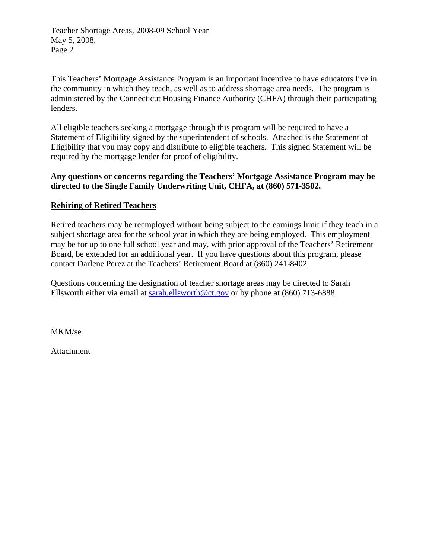Teacher Shortage Areas, 2008-09 School Year May 5, 2008, Page 2

This Teachers' Mortgage Assistance Program is an important incentive to have educators live in the community in which they teach, as well as to address shortage area needs. The program is administered by the Connecticut Housing Finance Authority (CHFA) through their participating lenders.

All eligible teachers seeking a mortgage through this program will be required to have a Statement of Eligibility signed by the superintendent of schools. Attached is the Statement of Eligibility that you may copy and distribute to eligible teachers. This signed Statement will be required by the mortgage lender for proof of eligibility.

## **Any questions or concerns regarding the Teachers' Mortgage Assistance Program may be directed to the Single Family Underwriting Unit, CHFA, at (860) 571-3502.**

## **Rehiring of Retired Teachers**

Retired teachers may be reemployed without being subject to the earnings limit if they teach in a subject shortage area for the school year in which they are being employed. This employment may be for up to one full school year and may, with prior approval of the Teachers' Retirement Board, be extended for an additional year. If you have questions about this program, please contact Darlene Perez at the Teachers' Retirement Board at (860) 241-8402.

Questions concerning the designation of teacher shortage areas may be directed to Sarah Ellsworth either via email at [sarah.ellsworth@ct.gov](mailto:sarah.ellsworth@ct.gov) or by phone at (860) 713-6888.

MKM/se

Attachment